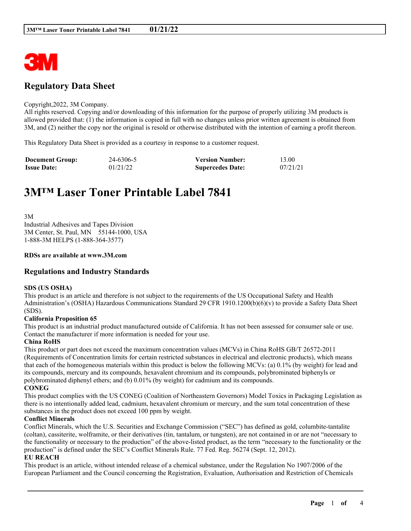

# **Regulatory Data Sheet**

#### Copyright,2022, 3M Company.

All rights reserved. Copying and/or downloading of this information for the purpose of properly utilizing 3M products is allowed provided that: (1) the information is copied in full with no changes unless prior written agreement is obtained from 3M, and (2) neither the copy nor the original is resold or otherwise distributed with the intention of earning a profit thereon.

This Regulatory Data Sheet is provided as a courtesy in response to a customer request.

| <b>Document Group:</b> | 24-6306-5 | <b>Version Number:</b>  | 13.00    |
|------------------------|-----------|-------------------------|----------|
| <b>Issue Date:</b>     | 01/21/22  | <b>Supercedes Date:</b> | 07/21/21 |

# **3M™ Laser Toner Printable Label 7841**

3M Industrial Adhesives and Tapes Division 3M Center, St. Paul, MN 55144-1000, USA 1-888-3M HELPS (1-888-364-3577)

#### **RDSs are available at www.3M.com**

# **Regulations and Industry Standards**

#### **SDS (US OSHA)**

This product is an article and therefore is not subject to the requirements of the US Occupational Safety and Health Administration's (OSHA) Hazardous Communications Standard 29 CFR 1910.1200(b)(6)(v) to provide a Safety Data Sheet (SDS).

#### **California Proposition 65**

This product is an industrial product manufactured outside of California. It has not been assessed for consumer sale or use. Contact the manufacturer if more information is needed for your use.

#### **China RoHS**

This product or part does not exceed the maximum concentration values (MCVs) in China RoHS GB/T 26572-2011 (Requirements of Concentration limits for certain restricted substances in electrical and electronic products), which means that each of the homogeneous materials within this product is below the following MCVs: (a) 0.1% (by weight) for lead and its compounds, mercury and its compounds, hexavalent chromium and its compounds, polybrominated biphenyls or polybrominated diphenyl ethers; and (b) 0.01% (by weight) for cadmium and its compounds. **CONEG**

This product complies with the US CONEG (Coalition of Northeastern Governors) Model Toxics in Packaging Legislation as there is no intentionally added lead, cadmium, hexavalent chromium or mercury, and the sum total concentration of these substances in the product does not exceed 100 ppm by weight.

# **Conflict Minerals**

Conflict Minerals, which the U.S. Securities and Exchange Commission ("SEC") has defined as gold, columbite-tantalite (coltan), cassiterite, wolframite, or their derivatives (tin, tantalum, or tungsten), are not contained in or are not "necessary to the functionality or necessary to the production" of the above-listed product, as the term "necessary to the functionality or the production" is defined under the SEC's Conflict Minerals Rule. 77 Fed. Reg. 56274 (Sept. 12, 2012).

# **EU REACH**

This product is an article, without intended release of a chemical substance, under the Regulation No 1907/2006 of the European Parliament and the Council concerning the Registration, Evaluation, Authorisation and Restriction of Chemicals

\_\_\_\_\_\_\_\_\_\_\_\_\_\_\_\_\_\_\_\_\_\_\_\_\_\_\_\_\_\_\_\_\_\_\_\_\_\_\_\_\_\_\_\_\_\_\_\_\_\_\_\_\_\_\_\_\_\_\_\_\_\_\_\_\_\_\_\_\_\_\_\_\_\_\_\_\_\_\_\_\_\_\_\_\_\_\_\_\_\_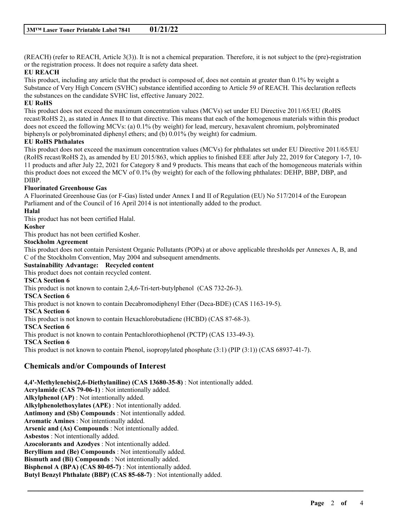(REACH) (refer to REACH, Article 3(3)). It is not a chemical preparation. Therefore, it is not subject to the (pre)-registration or the registration process. It does not require a safety data sheet.

# **EU REACH**

This product, including any article that the product is composed of, does not contain at greater than 0.1% by weight a Substance of Very High Concern (SVHC) substance identified according to Article 59 of REACH. This declaration reflects the substances on the candidate SVHC list, effective January 2022.

# **EU RoHS**

This product does not exceed the maximum concentration values (MCVs) set under EU Directive 2011/65/EU (RoHS recast/RoHS 2), as stated in Annex II to that directive. This means that each of the homogenous materials within this product does not exceed the following MCVs: (a) 0.1% (by weight) for lead, mercury, hexavalent chromium, polybrominated biphenyls or polybrominated diphenyl ethers; and (b) 0.01% (by weight) for cadmium.

# **EU RoHS Phthalates**

This product does not exceed the maximum concentration values (MCVs) for phthalates set under EU Directive 2011/65/EU (RoHS recast/RoHS 2), as amended by EU 2015/863, which applies to finished EEE after July 22, 2019 for Category 1-7, 10- 11 products and after July 22, 2021 for Category 8 and 9 products. This means that each of the homogeneous materials within this product does not exceed the MCV of 0.1% (by weight) for each of the following phthalates: DEHP, BBP, DBP, and DIBP.

# **Fluorinated Greenhouse Gas**

A Fluorinated Greenhouse Gas (or F-Gas) listed under Annex I and II of Regulation (EU) No 517/2014 of the European Parliament and of the Council of 16 April 2014 is not intentionally added to the product.

#### **Halal**

This product has not been certified Halal.

# **Kosher**

This product has not been certified Kosher.

#### **Stockholm Agreement**

This product does not contain Persistent Organic Pollutants (POPs) at or above applicable thresholds per Annexes A, B, and C of the Stockholm Convention, May 2004 and subsequent amendments.

\_\_\_\_\_\_\_\_\_\_\_\_\_\_\_\_\_\_\_\_\_\_\_\_\_\_\_\_\_\_\_\_\_\_\_\_\_\_\_\_\_\_\_\_\_\_\_\_\_\_\_\_\_\_\_\_\_\_\_\_\_\_\_\_\_\_\_\_\_\_\_\_\_\_\_\_\_\_\_\_\_\_\_\_\_\_\_\_\_\_

**Sustainability Advantage: Recycled content**

This product does not contain recycled content.

# **TSCA Section 6**

This product is not known to contain 2,4,6-Tri-tert-butylphenol (CAS 732-26-3).

#### **TSCA Section 6**

This product is not known to contain Decabromodiphenyl Ether (Deca-BDE) (CAS 1163-19-5).

#### **TSCA Section 6**

This product is not known to contain Hexachlorobutadiene (HCBD) (CAS 87-68-3).

**TSCA Section 6**

This product is not known to contain Pentachlorothiophenol (PCTP) (CAS 133-49-3).

**TSCA Section 6**

This product is not known to contain Phenol, isopropylated phosphate (3:1) (PIP (3:1)) (CAS 68937-41-7).

# **Chemicals and/or Compounds of Interest**

**4,4'-Methylenebis(2,6-Diethylaniline) (CAS 13680-35-8)** : Not intentionally added. **Acrylamide (CAS 79-06-1)** : Not intentionally added. **Alkylphenol (AP)** : Not intentionally added. **Alkylphenolethoxylates (APE)** : Not intentionally added.

**Antimony and (Sb) Compounds** : Not intentionally added.

**Aromatic Amines** : Not intentionally added.

**Arsenic and (As) Compounds** : Not intentionally added.

**Asbestos** : Not intentionally added.

**Azocolorants and Azodyes** : Not intentionally added.

**Beryllium and (Be) Compounds** : Not intentionally added.

**Bismuth and (Bi) Compounds** : Not intentionally added.

**Bisphenol A (BPA) (CAS 80-05-7)** : Not intentionally added.

**Butyl Benzyl Phthalate (BBP) (CAS 85-68-7)** : Not intentionally added.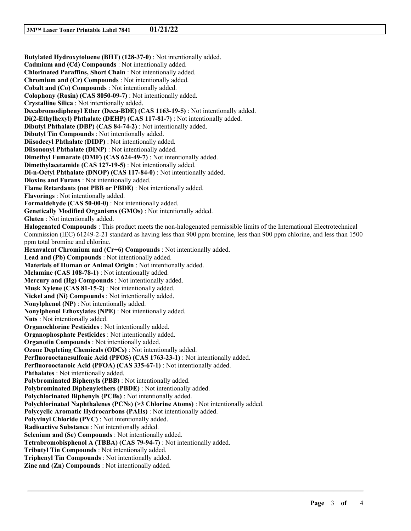**Butylated Hydroxytoluene (BHT) (128-37-0)** : Not intentionally added. **Cadmium and (Cd) Compounds** : Not intentionally added. **Chlorinated Paraffins, Short Chain** : Not intentionally added. **Chromium and (Cr) Compounds** : Not intentionally added. **Cobalt and (Co) Compounds** : Not intentionally added. **Colophony (Rosin) (CAS 8050-09-7)** : Not intentionally added. **Crystalline Silica** : Not intentionally added. **Decabromodiphenyl Ether (Deca-BDE) (CAS 1163-19-5)** : Not intentionally added. **Di(2-Ethylhexyl) Phthalate (DEHP) (CAS 117-81-7)** : Not intentionally added. **Dibutyl Phthalate (DBP) (CAS 84-74-2)** : Not intentionally added. **Dibutyl Tin Compounds** : Not intentionally added. **Diisodecyl Phthalate (DIDP)** : Not intentionally added. **Diisononyl Phthalate (DINP)** : Not intentionally added. **Dimethyl Fumarate (DMF) (CAS 624-49-7)** : Not intentionally added. **Dimethylacetamide (CAS 127-19-5)** : Not intentionally added. **Di-n-Octyl Phthalate (DNOP) (CAS 117-84-0)** : Not intentionally added. **Dioxins and Furans** : Not intentionally added. **Flame Retardants (not PBB or PBDE)** : Not intentionally added. **Flavorings** : Not intentionally added. **Formaldehyde (CAS 50-00-0)** : Not intentionally added. **Genetically Modified Organisms (GMOs)** : Not intentionally added. **Gluten** : Not intentionally added. **Halogenated Compounds** : This product meets the non-halogenated permissible limits of the International Electrotechnical Commission (IEC) 61249-2-21 standard as having less than 900 ppm bromine, less than 900 ppm chlorine, and less than 1500 ppm total bromine and chlorine. **Hexavalent Chromium and (Cr+6) Compounds** : Not intentionally added. **Lead and (Pb) Compounds** : Not intentionally added. **Materials of Human or Animal Origin** : Not intentionally added. **Melamine (CAS 108-78-1)** : Not intentionally added. **Mercury and (Hg) Compounds** : Not intentionally added. **Musk Xylene (CAS 81-15-2)** : Not intentionally added. **Nickel and (Ni) Compounds** : Not intentionally added. **Nonylphenol (NP)** : Not intentionally added. **Nonylphenol Ethoxylates (NPE)** : Not intentionally added. **Nuts** : Not intentionally added. **Organochlorine Pesticides** : Not intentionally added. **Organophosphate Pesticides** : Not intentionally added. **Organotin Compounds** : Not intentionally added. **Ozone Depleting Chemicals (ODCs)** : Not intentionally added. **Perfluorooctanesulfonic Acid (PFOS) (CAS 1763-23-1)** : Not intentionally added. **Perfluorooctanoic Acid (PFOA) (CAS 335-67-1)** : Not intentionally added. **Phthalates** : Not intentionally added. **Polybrominated Biphenyls (PBB)** : Not intentionally added. **Polybrominated Diphenylethers (PBDE)** : Not intentionally added. **Polychlorinated Biphenyls (PCBs)** : Not intentionally added. **Polychlorinated Naphthalenes (PCNs) (>3 Chlorine Atoms)** : Not intentionally added. **Polycyclic Aromatic Hydrocarbons (PAHs)** : Not intentionally added. **Polyvinyl Chloride (PVC)** : Not intentionally added. **Radioactive Substance** : Not intentionally added. **Selenium and (Se) Compounds** : Not intentionally added. **Tetrabromobisphenol A (TBBA) (CAS 79-94-7)** : Not intentionally added. **Tributyl Tin Compounds** : Not intentionally added. **Triphenyl Tin Compounds** : Not intentionally added. **Zinc and (Zn) Compounds** : Not intentionally added.

\_\_\_\_\_\_\_\_\_\_\_\_\_\_\_\_\_\_\_\_\_\_\_\_\_\_\_\_\_\_\_\_\_\_\_\_\_\_\_\_\_\_\_\_\_\_\_\_\_\_\_\_\_\_\_\_\_\_\_\_\_\_\_\_\_\_\_\_\_\_\_\_\_\_\_\_\_\_\_\_\_\_\_\_\_\_\_\_\_\_